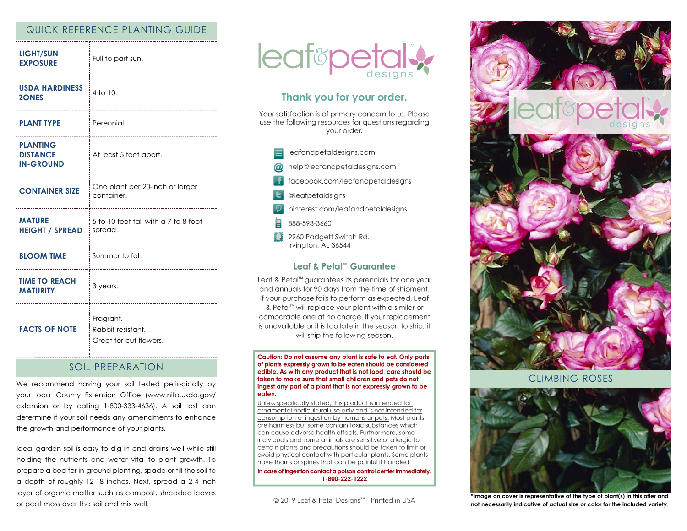## QUICK REFERENCE PLANTING GUIDE

| <b>LIGHT/SUN</b><br><b>EXPOSURE</b>                    | Full to part sun.<br>--------------------------                                   |
|--------------------------------------------------------|-----------------------------------------------------------------------------------|
| <b>USDA HARDINESS</b><br><b>ZONES</b>                  | 4 to 10.<br>-----------------------------                                         |
| <b>PLANT TYPE</b>                                      | <sup>:</sup> Perennial.<br>                                                       |
| <b>PLANTING</b><br><b>DISTANCE</b><br><b>IN-GROUND</b> | At least 5 feet apart.                                                            |
| <b>CONTAINER SIZE</b>                                  | One plant per 20-inch or larger<br>container.                                     |
| <b>MATURE</b><br><b>HEIGHT / SPREAD</b>                | 5 to 10 feet tall with a 7 to 8 foot<br>spread.<br>______________________________ |
| <b>BLOOM TIME</b>                                      | Summer to fall.                                                                   |
| <b>TIME TO REACH</b><br><b>MATURITY</b>                | 3 years.<br>----------------------                                                |
| <b>FACTS OF NOTE</b>                                   | Fragrant.<br>Rabbit resistant.<br>Great for cut flowers.                          |

#### SOIL PREPARATION

We recommend having your soil tested periodically by your local County Extension Office (www.nifa.usda.gov/ extension or by calling 1-800-333-4636). A soil test can determine if your soil needs any amendments to enhance the growth and performance of your plants.

Ideal garden soil is easy to dig in and drains well while still holding the nutrients and water vital to plant growth. To prepare a bed for in-ground planting, spade or till the soil to a depth of roughly 12-18 inches. Next, spread a 2-4 inch layer of organic matter such as compost, shredded leaves or peat moss over the soil and mix well.



# Thank you for your order.

Your satisfaction is of primary concern to us. Please use the following resources for questions regarding vour order.



#### Leaf & Petal™ Guarantee

Leaf & Petal<sup>™</sup> guarantees its perennials for one year and annuals for 90 days from the time of shipment. If your purchase fails to perform as expected, Leaf & Petal™ will replace your plant with a similar or comparable one at no charge. If your replacement is unavailable or it is too late in the season to ship, it will ship the following season.

Caution: Do not assume any plant is safe to eat. Only parts of plants expressly grown to be eaten should be considered edible. As with any product that is not food, care should be taken to make sure that small children and pets do not ingest any part of a plant that is not expressly grown to be eaten.

Unless specifically stated, this product is intended for ornamental horticultural use only and is not intended for consumption or ingestion by humans or pets. Most plants are harmless but some contain toxic substances which can cause adverse health effects. Furthermore, some individuals and some animals are sensitive or allergic to certain plants and precautions should be taken to limit or avoid physical contact with particular plants. Some plants have thorns or spines that can be painful if handled.

In case of ingestion contact a poison control center immediately. 1-800-222-1222

© 2019 Leaf & Petal Designs<sup>™</sup> - Printed in USA



CLIMBING ROSES



**\*Image on cover is representative of the type of plant(s) in this offer and not necessarily indicative of actual size or color for the included variety**.